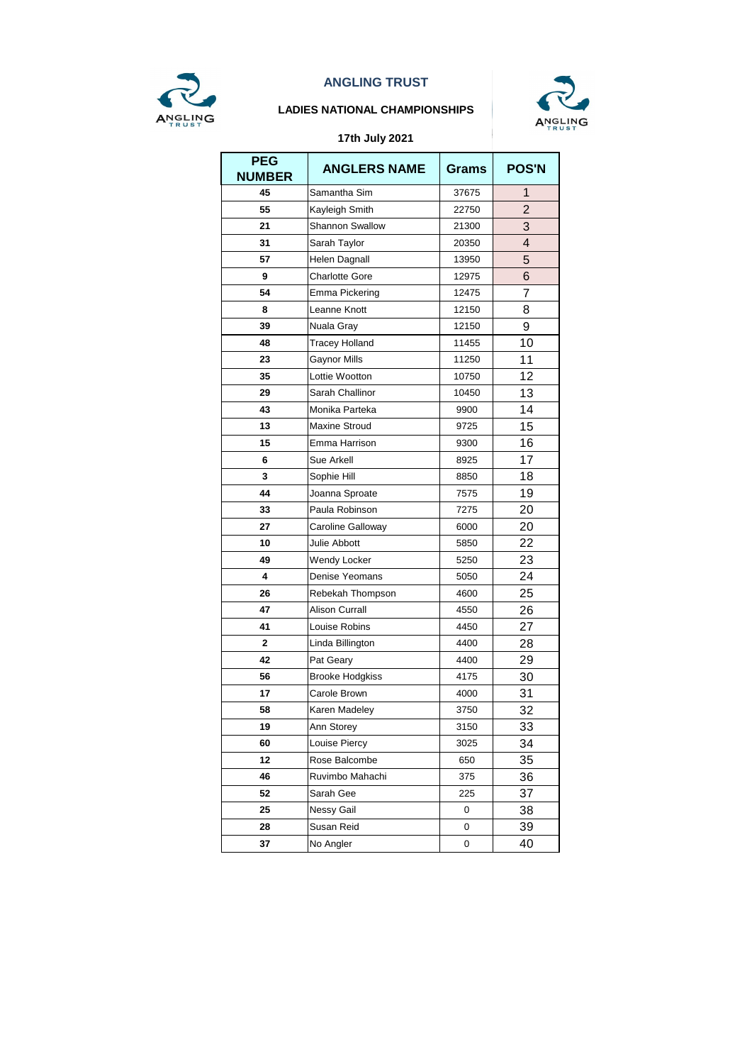

#### **LADIES NATIONAL CHAMPIONSHIPS**



| <b>PEG</b><br><b>NUMBER</b> | <b>ANGLERS NAME</b>    | <b>Grams</b> | <b>POS'N</b>            |
|-----------------------------|------------------------|--------------|-------------------------|
| 45                          | Samantha Sim           | 37675        | 1                       |
| 55                          | Kayleigh Smith         | 22750        | $\overline{2}$          |
| 21                          | <b>Shannon Swallow</b> | 21300        | 3                       |
| 31                          | Sarah Taylor           | 20350        | $\overline{\mathbf{4}}$ |
| 57                          | Helen Dagnall          | 13950        | 5                       |
| 9                           | <b>Charlotte Gore</b>  | 12975        | 6                       |
| 54                          | Emma Pickering         | 12475        | 7                       |
| 8                           | Leanne Knott           | 12150        | 8                       |
| 39                          | Nuala Gray             | 12150        | 9                       |
| 48                          | <b>Tracey Holland</b>  | 11455        | 10                      |
| 23                          | <b>Gaynor Mills</b>    | 11250        | 11                      |
| 35                          | Lottie Wootton         | 10750        | 12                      |
| 29                          | Sarah Challinor        | 10450        | 13                      |
| 43                          | Monika Parteka         | 9900         | 14                      |
| 13                          | <b>Maxine Stroud</b>   | 9725         | 15                      |
| 15                          | Emma Harrison          | 9300         | 16                      |
| 6                           | Sue Arkell             | 8925         | 17                      |
| 3                           | Sophie Hill            | 8850         | 18                      |
| 44                          | Joanna Sproate         | 7575         | 19                      |
| 33                          | Paula Robinson         | 7275         | 20                      |
| 27                          | Caroline Galloway      | 6000         | 20                      |
| 10                          | Julie Abbott           | 5850         | 22                      |
| 49                          | Wendy Locker           | 5250         | 23                      |
| 4                           | Denise Yeomans         | 5050         | 24                      |
| 26                          | Rebekah Thompson       | 4600         | 25                      |
| 47                          | <b>Alison Currall</b>  | 4550         | 26                      |
| 41                          | Louise Robins          | 4450         | 27                      |
| $\mathbf{2}$                | Linda Billington       | 4400         | 28                      |
| 42                          | Pat Geary              | 4400         | 29                      |
| 56                          | <b>Brooke Hodgkiss</b> | 4175         | 30                      |
| 17                          | Carole Brown           | 4000         | 31                      |
| 58                          | Karen Madeley          | 3750         | 32                      |
| 19                          | Ann Storey             | 3150         | 33                      |
| 60                          | Louise Piercy          | 3025         | 34                      |
| 12                          | Rose Balcombe          | 650          | 35                      |
| 46                          | Ruvimbo Mahachi        | 375          | 36                      |
| 52                          | Sarah Gee              | 225          | 37                      |
| 25                          | Nessy Gail             | 0            | 38                      |
| 28                          | Susan Reid             | 0            | 39                      |
| 37                          | No Angler              | 0            | 40                      |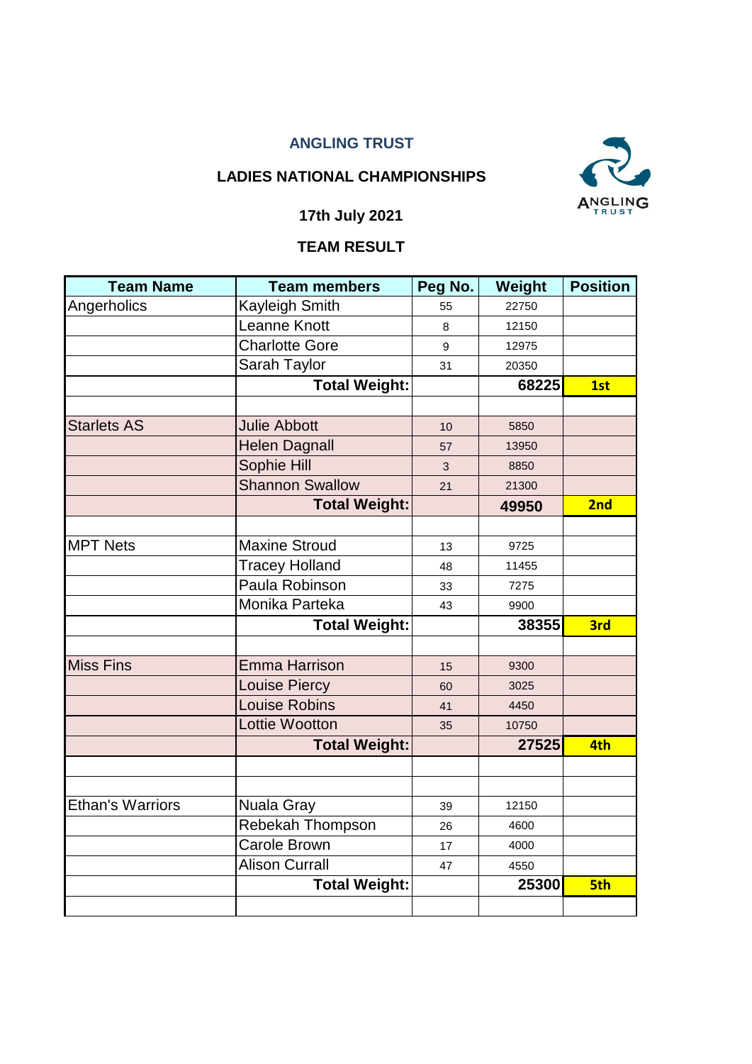## **LADIES NATIONAL CHAMPIONSHIPS**



## **17th July 2021**

# **TEAM RESULT**

| <b>Team Name</b>        | <b>Team members</b>    | Peg No. | Weight | <b>Position</b> |
|-------------------------|------------------------|---------|--------|-----------------|
| Angerholics             | <b>Kayleigh Smith</b>  | 55      | 22750  |                 |
|                         | Leanne Knott           | 8       | 12150  |                 |
|                         | <b>Charlotte Gore</b>  | 9       | 12975  |                 |
|                         | Sarah Taylor           | 31      | 20350  |                 |
|                         | <b>Total Weight:</b>   |         | 68225  | 1st             |
|                         |                        |         |        |                 |
| <b>Starlets AS</b>      | <b>Julie Abbott</b>    | 10      | 5850   |                 |
|                         | <b>Helen Dagnall</b>   | 57      | 13950  |                 |
|                         | Sophie Hill            | 3       | 8850   |                 |
|                         | <b>Shannon Swallow</b> | 21      | 21300  |                 |
|                         | <b>Total Weight:</b>   |         | 49950  | 2nd             |
|                         |                        |         |        |                 |
| <b>MPT Nets</b>         | <b>Maxine Stroud</b>   | 13      | 9725   |                 |
|                         | <b>Tracey Holland</b>  | 48      | 11455  |                 |
|                         | Paula Robinson         | 33      | 7275   |                 |
|                         | Monika Parteka         | 43      | 9900   |                 |
|                         | <b>Total Weight:</b>   |         | 38355  | 3rd             |
|                         |                        |         |        |                 |
| <b>Miss Fins</b>        | <b>Emma Harrison</b>   | 15      | 9300   |                 |
|                         | <b>Louise Piercy</b>   | 60      | 3025   |                 |
|                         | <b>Louise Robins</b>   | 41      | 4450   |                 |
|                         | <b>Lottie Wootton</b>  | 35      | 10750  |                 |
|                         | <b>Total Weight:</b>   |         | 27525  | 4th             |
|                         |                        |         |        |                 |
|                         |                        |         |        |                 |
| <b>Ethan's Warriors</b> | <b>Nuala Gray</b>      | 39      | 12150  |                 |
|                         | Rebekah Thompson       | 26      | 4600   |                 |
|                         | <b>Carole Brown</b>    | 17      | 4000   |                 |
|                         | <b>Alison Currall</b>  | 47      | 4550   |                 |
|                         | <b>Total Weight:</b>   |         | 25300  | 5th             |
|                         |                        |         |        |                 |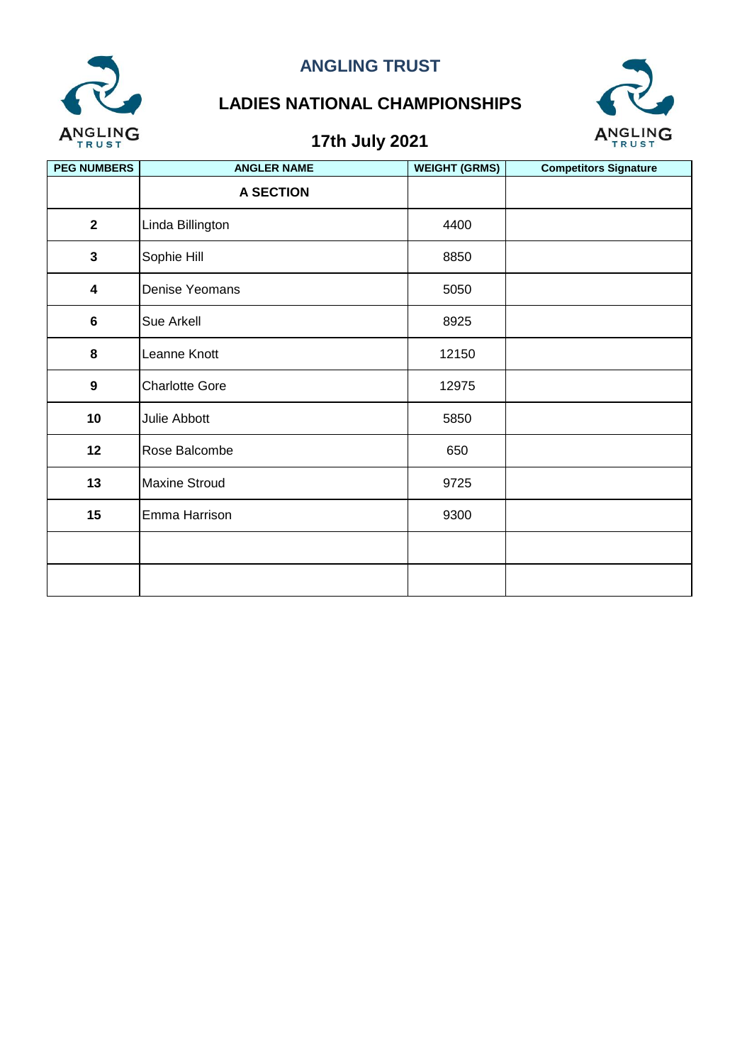

# **LADIES NATIONAL CHAMPIONSHIPS**



| <b>PEG NUMBERS</b>      | <b>ANGLER NAME</b>    | <b>WEIGHT (GRMS)</b> | <b>Competitors Signature</b> |
|-------------------------|-----------------------|----------------------|------------------------------|
|                         | <b>A SECTION</b>      |                      |                              |
| $\overline{\mathbf{2}}$ | Linda Billington      | 4400                 |                              |
| $\mathbf{3}$            | Sophie Hill           | 8850                 |                              |
| $\overline{\mathbf{4}}$ | Denise Yeomans        | 5050                 |                              |
| $\bf 6$                 | Sue Arkell            | 8925                 |                              |
| 8                       | Leanne Knott          | 12150                |                              |
| $\boldsymbol{9}$        | <b>Charlotte Gore</b> | 12975                |                              |
| 10                      | Julie Abbott          | 5850                 |                              |
| 12                      | Rose Balcombe         | 650                  |                              |
| 13                      | <b>Maxine Stroud</b>  | 9725                 |                              |
| 15                      | Emma Harrison         | 9300                 |                              |
|                         |                       |                      |                              |
|                         |                       |                      |                              |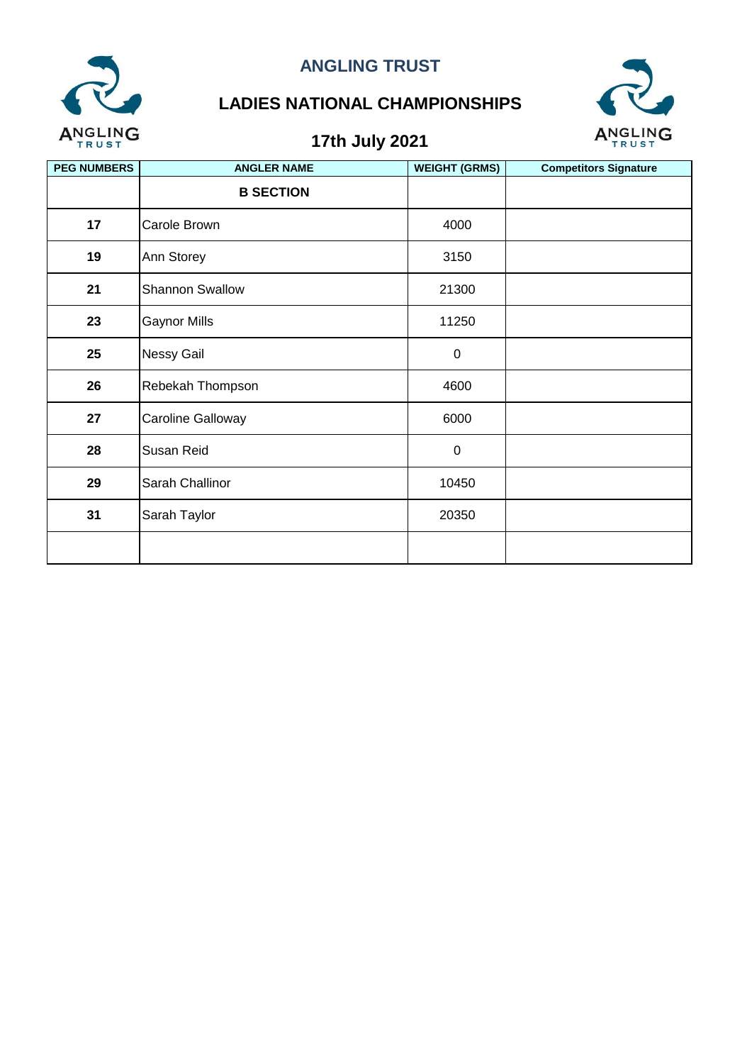

# **LADIES NATIONAL CHAMPIONSHIPS**



| <b>PEG NUMBERS</b> | <b>ANGLER NAME</b>     | <b>WEIGHT (GRMS)</b> | <b>Competitors Signature</b> |
|--------------------|------------------------|----------------------|------------------------------|
|                    | <b>B SECTION</b>       |                      |                              |
| 17                 | Carole Brown           | 4000                 |                              |
| 19                 | Ann Storey             | 3150                 |                              |
| 21                 | <b>Shannon Swallow</b> | 21300                |                              |
| 23                 | <b>Gaynor Mills</b>    | 11250                |                              |
| 25                 | <b>Nessy Gail</b>      | $\pmb{0}$            |                              |
| 26                 | Rebekah Thompson       | 4600                 |                              |
| 27                 | Caroline Galloway      | 6000                 |                              |
| 28                 | Susan Reid             | $\pmb{0}$            |                              |
| 29                 | Sarah Challinor        | 10450                |                              |
| 31                 | Sarah Taylor           | 20350                |                              |
|                    |                        |                      |                              |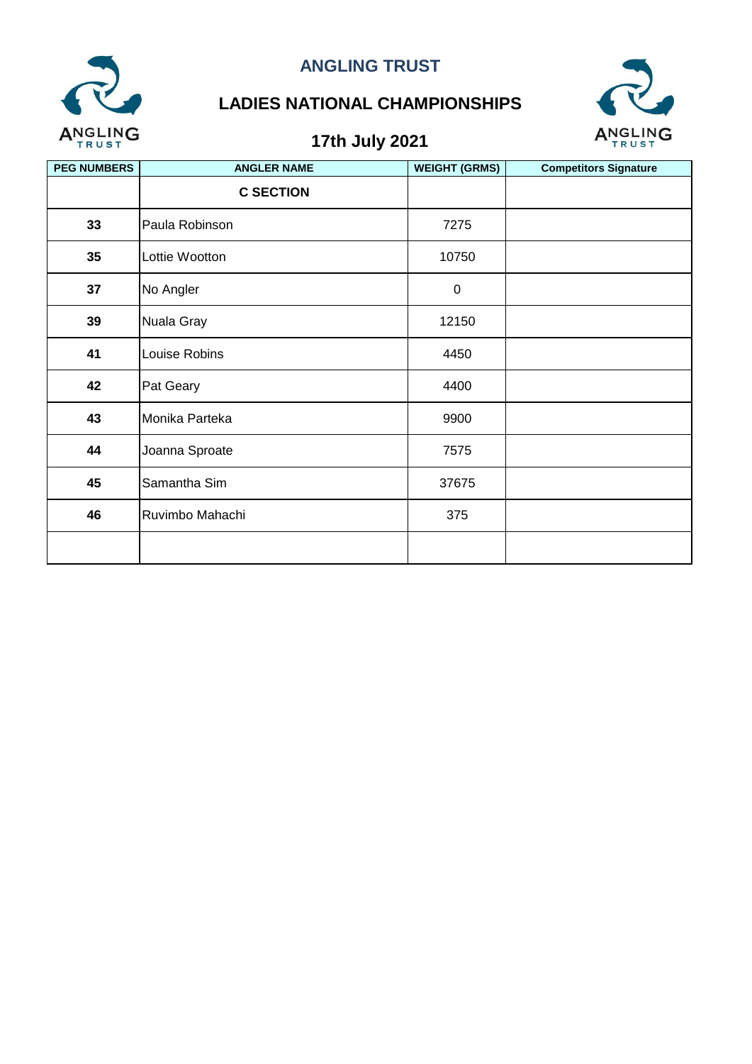

# **LADIES NATIONAL CHAMPIONSHIPS**



| <b>PEG NUMBERS</b> | <b>ANGLER NAME</b> | <b>WEIGHT (GRMS)</b> | <b>Competitors Signature</b> |
|--------------------|--------------------|----------------------|------------------------------|
|                    | <b>C SECTION</b>   |                      |                              |
| 33                 | Paula Robinson     | 7275                 |                              |
| 35                 | Lottie Wootton     | 10750                |                              |
| 37                 | No Angler          | $\pmb{0}$            |                              |
| 39                 | Nuala Gray         | 12150                |                              |
| 41                 | Louise Robins      | 4450                 |                              |
| 42                 | Pat Geary          | 4400                 |                              |
| 43                 | Monika Parteka     | 9900                 |                              |
| 44                 | Joanna Sproate     | 7575                 |                              |
| 45                 | Samantha Sim       | 37675                |                              |
| 46                 | Ruvimbo Mahachi    | 375                  |                              |
|                    |                    |                      |                              |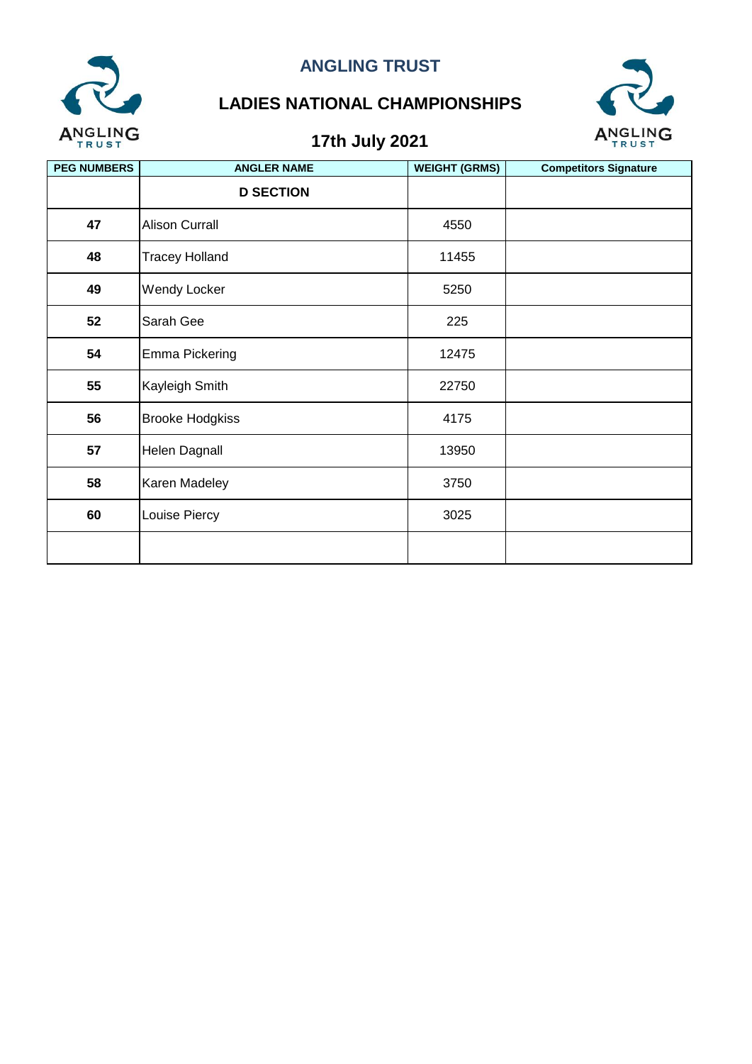

# **LADIES NATIONAL CHAMPIONSHIPS**



| <b>PEG NUMBERS</b> | <b>ANGLER NAME</b>     | <b>WEIGHT (GRMS)</b> | <b>Competitors Signature</b> |
|--------------------|------------------------|----------------------|------------------------------|
|                    | <b>D SECTION</b>       |                      |                              |
| 47                 | <b>Alison Currall</b>  | 4550                 |                              |
| 48                 | <b>Tracey Holland</b>  | 11455                |                              |
| 49                 | Wendy Locker           | 5250                 |                              |
| 52                 | Sarah Gee              | 225                  |                              |
| 54                 | Emma Pickering         | 12475                |                              |
| 55                 | Kayleigh Smith         | 22750                |                              |
| 56                 | <b>Brooke Hodgkiss</b> | 4175                 |                              |
| 57                 | <b>Helen Dagnall</b>   | 13950                |                              |
| 58                 | Karen Madeley          | 3750                 |                              |
| 60                 | Louise Piercy          | 3025                 |                              |
|                    |                        |                      |                              |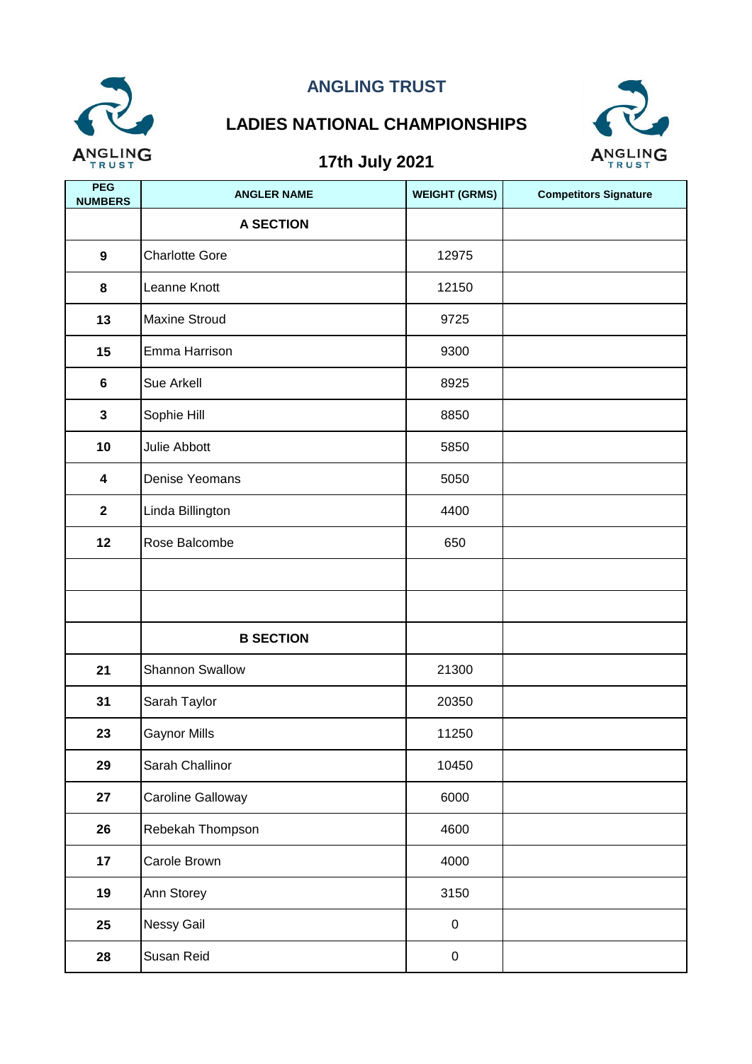

# **LADIES NATIONAL CHAMPIONSHIPS**



| PEG<br><b>NUMBERS</b>   | <b>ANGLER NAME</b>     | <b>WEIGHT (GRMS)</b> | <b>Competitors Signature</b> |
|-------------------------|------------------------|----------------------|------------------------------|
|                         | <b>A SECTION</b>       |                      |                              |
| $\boldsymbol{9}$        | <b>Charlotte Gore</b>  | 12975                |                              |
| 8                       | Leanne Knott           | 12150                |                              |
| 13                      | <b>Maxine Stroud</b>   | 9725                 |                              |
| 15                      | Emma Harrison          | 9300                 |                              |
| 6                       | Sue Arkell             | 8925                 |                              |
| $\mathbf{3}$            | Sophie Hill            | 8850                 |                              |
| 10                      | Julie Abbott           | 5850                 |                              |
| 4                       | Denise Yeomans         | 5050                 |                              |
| $\overline{\mathbf{2}}$ | Linda Billington       | 4400                 |                              |
| 12                      | Rose Balcombe          | 650                  |                              |
|                         |                        |                      |                              |
|                         |                        |                      |                              |
|                         | <b>B SECTION</b>       |                      |                              |
| 21                      | <b>Shannon Swallow</b> | 21300                |                              |
| 31                      | Sarah Taylor           | 20350                |                              |
| 23                      | Gaynor Mills           | 11250                |                              |
| 29                      | Sarah Challinor        | 10450                |                              |
| 27                      | Caroline Galloway      | 6000                 |                              |
| 26                      | Rebekah Thompson       | 4600                 |                              |
| 17                      | Carole Brown           | 4000                 |                              |
| 19                      | Ann Storey             | 3150                 |                              |
| 25                      | Nessy Gail             | $\pmb{0}$            |                              |
| 28                      | Susan Reid             | $\pmb{0}$            |                              |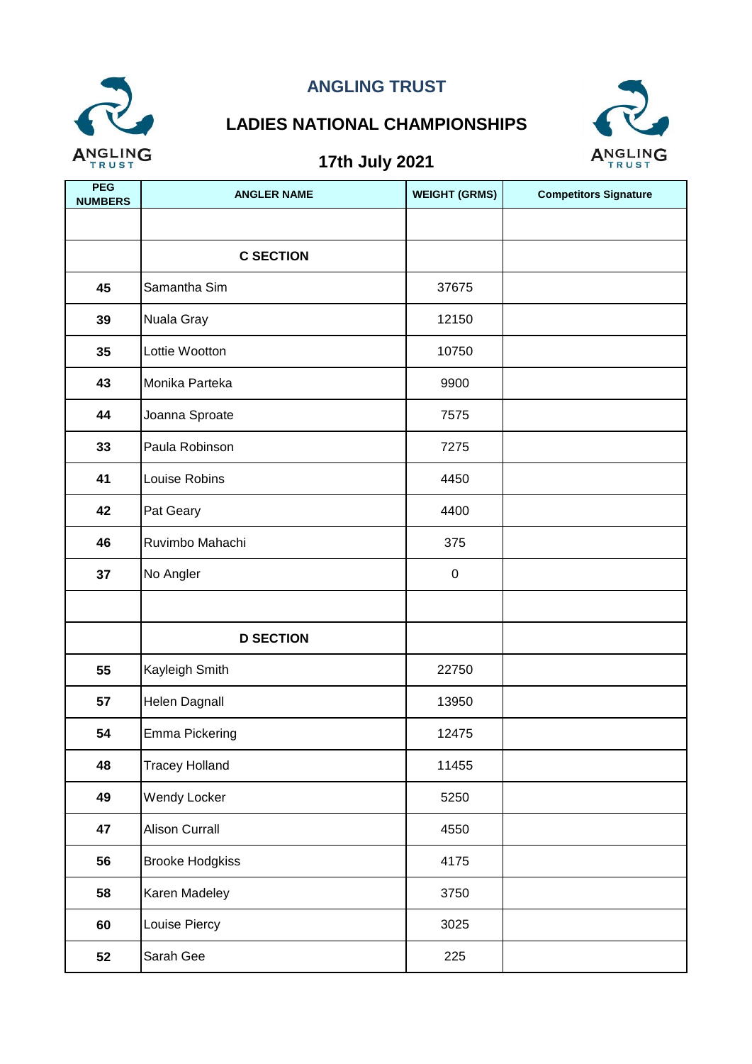

# **LADIES NATIONAL CHAMPIONSHIPS**



| PEG<br><b>NUMBERS</b> | <b>ANGLER NAME</b>     | <b>WEIGHT (GRMS)</b> | <b>Competitors Signature</b> |
|-----------------------|------------------------|----------------------|------------------------------|
|                       |                        |                      |                              |
|                       | <b>C SECTION</b>       |                      |                              |
| 45                    | Samantha Sim           | 37675                |                              |
| 39                    | Nuala Gray             | 12150                |                              |
| 35                    | Lottie Wootton         | 10750                |                              |
| 43                    | Monika Parteka         | 9900                 |                              |
| 44                    | Joanna Sproate         | 7575                 |                              |
| 33                    | Paula Robinson         | 7275                 |                              |
| 41                    | Louise Robins          | 4450                 |                              |
| 42                    | Pat Geary              | 4400                 |                              |
| 46                    | Ruvimbo Mahachi        | 375                  |                              |
| 37                    | No Angler              | $\mathbf 0$          |                              |
|                       |                        |                      |                              |
|                       | <b>D SECTION</b>       |                      |                              |
| 55                    | Kayleigh Smith         | 22750                |                              |
| 57                    | Helen Dagnall          | 13950                |                              |
| 54                    | Emma Pickering         | 12475                |                              |
| 48                    | <b>Tracey Holland</b>  | 11455                |                              |
| 49                    | Wendy Locker           | 5250                 |                              |
| 47                    | <b>Alison Currall</b>  | 4550                 |                              |
| 56                    | <b>Brooke Hodgkiss</b> | 4175                 |                              |
| 58                    | Karen Madeley          | 3750                 |                              |
| 60                    | Louise Piercy          | 3025                 |                              |
| 52                    | Sarah Gee              | 225                  |                              |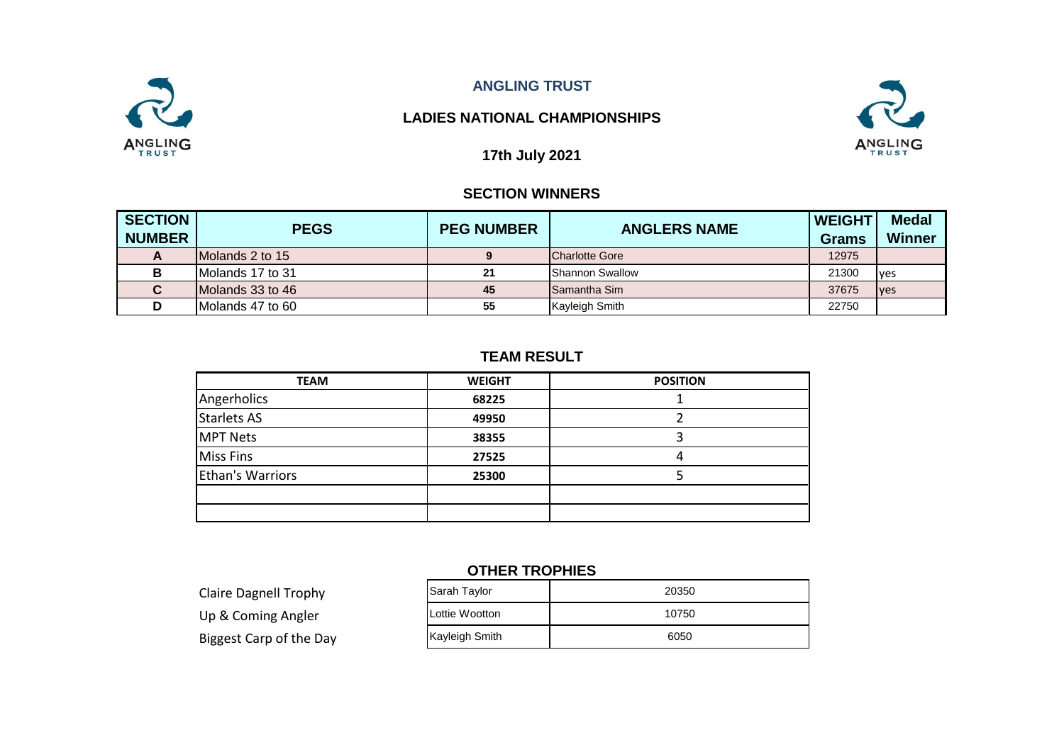

### **LADIES NATIONAL CHAMPIONSHIPS**



**17th July 2021**

### **SECTION WINNERS**

| <b>SECTION</b> | <b>PEGS</b>       | <b>PEG NUMBER</b> | <b>ANGLERS NAME</b>    | <b>WEIGHT</b> | <b>Medal</b>  |
|----------------|-------------------|-------------------|------------------------|---------------|---------------|
| <b>NUMBER</b>  |                   |                   |                        | <b>Grams</b>  | <b>Winner</b> |
| A              | IMolands 2 to 15  |                   | <b>Charlotte Gore</b>  | 12975         |               |
| в              | Molands 17 to 31  | 21                | <b>Shannon Swallow</b> | 21300         | <b>ves</b>    |
| C              | Molands 33 to 46  | 45                | <b>ISamantha Sim</b>   | 37675         | <b>ves</b>    |
|                | IMolands 47 to 60 | 55                | <b>Kayleigh Smith</b>  | 22750         |               |

### **TEAM RESULT**

| <b>TEAM</b>             | <b>WEIGHT</b> | <b>POSITION</b> |
|-------------------------|---------------|-----------------|
| Angerholics             | 68225         |                 |
| <b>Starlets AS</b>      | 49950         |                 |
| <b>MPT Nets</b>         | 38355         |                 |
| <b>Miss Fins</b>        | 27525         | 4               |
| <b>Ethan's Warriors</b> | 25300         |                 |
|                         |               |                 |
|                         |               |                 |

### **OTHER TROPHIES**

Claire Dagnell Trophy Up & Coming Angler Biggest Carp of the Day

| Sarah Taylor   | 20350 |
|----------------|-------|
| Lottie Wootton | 10750 |
| Kayleigh Smith | 6050  |